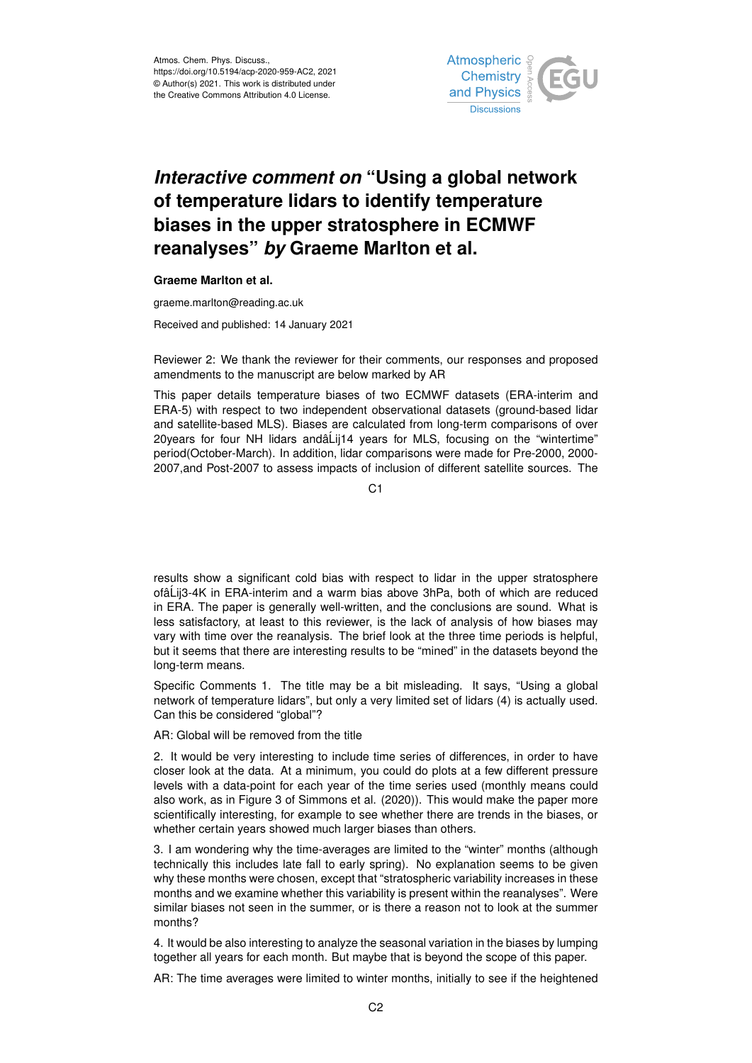

## *Interactive comment on* **"Using a global network of temperature lidars to identify temperature biases in the upper stratosphere in ECMWF reanalyses"** *by* **Graeme Marlton et al.**

## **Graeme Marlton et al.**

graeme.marlton@reading.ac.uk

Received and published: 14 January 2021

Reviewer 2: We thank the reviewer for their comments, our responses and proposed amendments to the manuscript are below marked by AR

This paper details temperature biases of two ECMWF datasets (ERA-interim and ERA-5) with respect to two independent observational datasets (ground-based lidar and satellite-based MLS). Biases are calculated from long-term comparisons of over 20 years for four NH lidars and  $\Delta$ Lij14 years for MLS, focusing on the "wintertime" period(October-March). In addition, lidar comparisons were made for Pre-2000, 2000- 2007,and Post-2007 to assess impacts of inclusion of different satellite sources. The

C<sub>1</sub>

results show a significant cold bias with respect to lidar in the upper stratosphere ofâ´Lij3-4K in ERA-interim and a warm bias above 3hPa, both of which are reduced in ERA. The paper is generally well-written, and the conclusions are sound. What is less satisfactory, at least to this reviewer, is the lack of analysis of how biases may vary with time over the reanalysis. The brief look at the three time periods is helpful, but it seems that there are interesting results to be "mined" in the datasets beyond the long-term means.

Specific Comments 1. The title may be a bit misleading. It says, "Using a global network of temperature lidars", but only a very limited set of lidars (4) is actually used. Can this be considered "global"?

AR: Global will be removed from the title

2. It would be very interesting to include time series of differences, in order to have closer look at the data. At a minimum, you could do plots at a few different pressure levels with a data-point for each year of the time series used (monthly means could also work, as in Figure 3 of Simmons et al. (2020)). This would make the paper more scientifically interesting, for example to see whether there are trends in the biases, or whether certain years showed much larger biases than others.

3. I am wondering why the time-averages are limited to the "winter" months (although technically this includes late fall to early spring). No explanation seems to be given why these months were chosen, except that "stratospheric variability increases in these months and we examine whether this variability is present within the reanalyses". Were similar biases not seen in the summer, or is there a reason not to look at the summer months?

4. It would be also interesting to analyze the seasonal variation in the biases by lumping together all years for each month. But maybe that is beyond the scope of this paper.

AR: The time averages were limited to winter months, initially to see if the heightened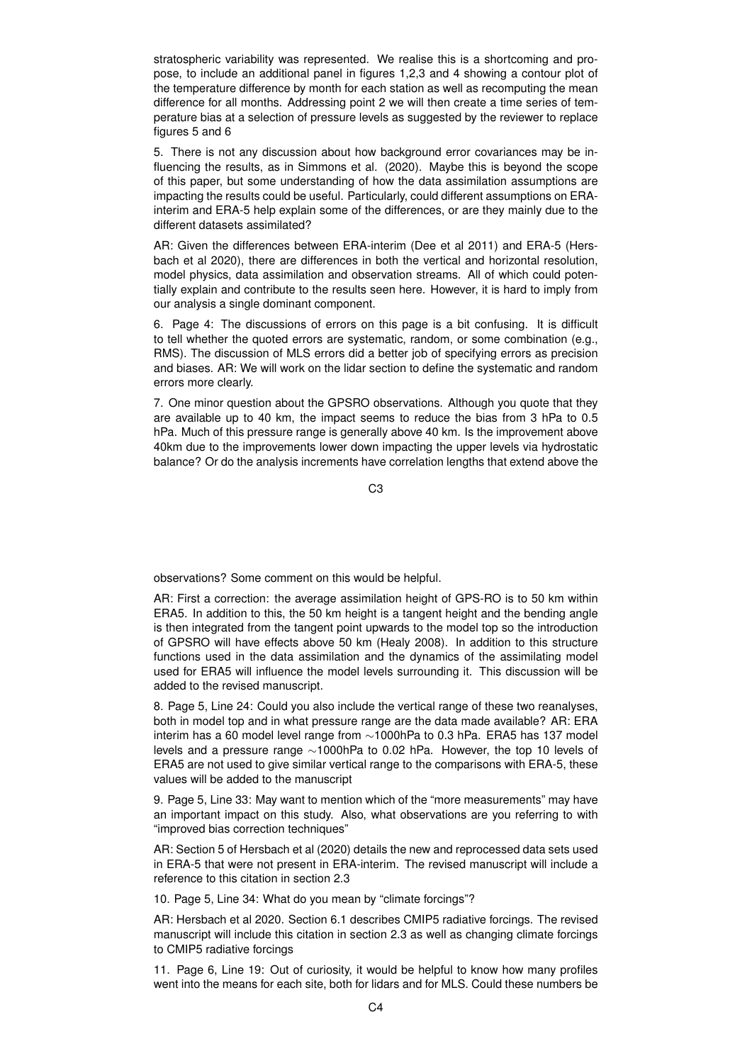stratospheric variability was represented. We realise this is a shortcoming and propose, to include an additional panel in figures 1,2,3 and 4 showing a contour plot of the temperature difference by month for each station as well as recomputing the mean difference for all months. Addressing point 2 we will then create a time series of temperature bias at a selection of pressure levels as suggested by the reviewer to replace figures 5 and 6

5. There is not any discussion about how background error covariances may be influencing the results, as in Simmons et al. (2020). Maybe this is beyond the scope of this paper, but some understanding of how the data assimilation assumptions are impacting the results could be useful. Particularly, could different assumptions on ERAinterim and ERA-5 help explain some of the differences, or are they mainly due to the different datasets assimilated?

AR: Given the differences between ERA-interim (Dee et al 2011) and ERA-5 (Hersbach et al 2020), there are differences in both the vertical and horizontal resolution, model physics, data assimilation and observation streams. All of which could potentially explain and contribute to the results seen here. However, it is hard to imply from our analysis a single dominant component.

6. Page 4: The discussions of errors on this page is a bit confusing. It is difficult to tell whether the quoted errors are systematic, random, or some combination (e.g., RMS). The discussion of MLS errors did a better job of specifying errors as precision and biases. AR: We will work on the lidar section to define the systematic and random errors more clearly.

7. One minor question about the GPSRO observations. Although you quote that they are available up to 40 km, the impact seems to reduce the bias from 3 hPa to 0.5 hPa. Much of this pressure range is generally above 40 km. Is the improvement above 40km due to the improvements lower down impacting the upper levels via hydrostatic balance? Or do the analysis increments have correlation lengths that extend above the

C3

observations? Some comment on this would be helpful.

AR: First a correction: the average assimilation height of GPS-RO is to 50 km within ERA5. In addition to this, the 50 km height is a tangent height and the bending angle is then integrated from the tangent point upwards to the model top so the introduction of GPSRO will have effects above 50 km (Healy 2008). In addition to this structure functions used in the data assimilation and the dynamics of the assimilating model used for ERA5 will influence the model levels surrounding it. This discussion will be added to the revised manuscript.

8. Page 5, Line 24: Could you also include the vertical range of these two reanalyses, both in model top and in what pressure range are the data made available? AR: ERA interim has a 60 model level range from ∼1000hPa to 0.3 hPa. ERA5 has 137 model levels and a pressure range ∼1000hPa to 0.02 hPa. However, the top 10 levels of ERA5 are not used to give similar vertical range to the comparisons with ERA-5, these values will be added to the manuscript

9. Page 5, Line 33: May want to mention which of the "more measurements" may have an important impact on this study. Also, what observations are you referring to with "improved bias correction techniques"

AR: Section 5 of Hersbach et al (2020) details the new and reprocessed data sets used in ERA-5 that were not present in ERA-interim. The revised manuscript will include a reference to this citation in section 2.3

10. Page 5, Line 34: What do you mean by "climate forcings"?

AR: Hersbach et al 2020. Section 6.1 describes CMIP5 radiative forcings. The revised manuscript will include this citation in section 2.3 as well as changing climate forcings to CMIP5 radiative forcings

11. Page 6, Line 19: Out of curiosity, it would be helpful to know how many profiles went into the means for each site, both for lidars and for MLS. Could these numbers be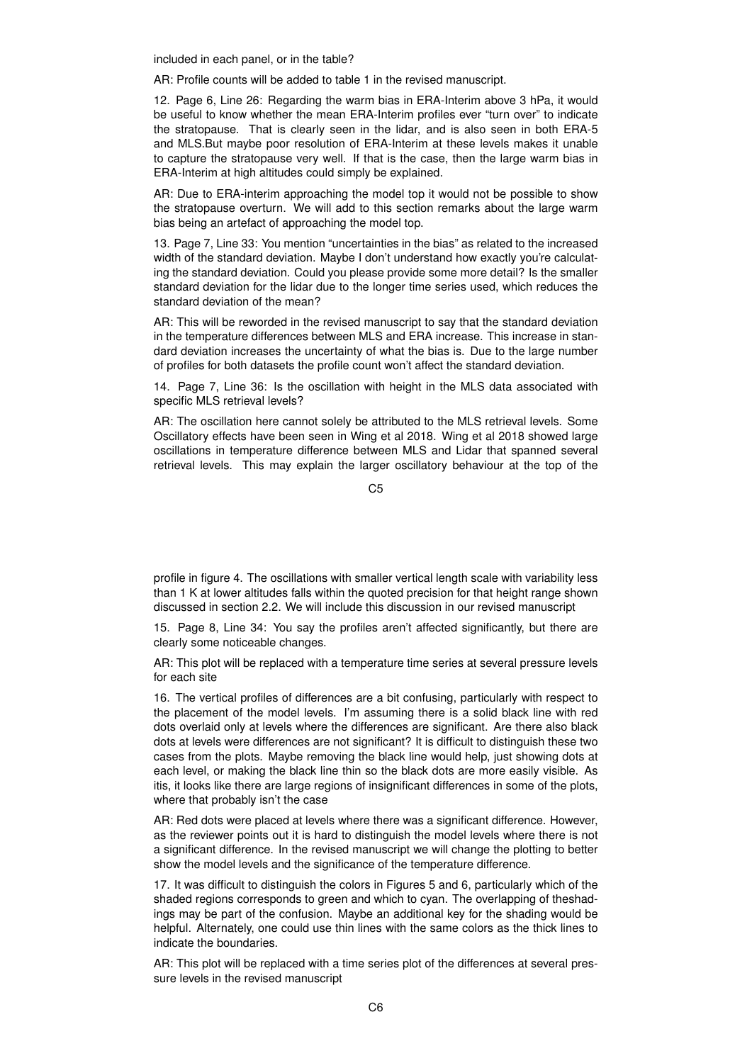included in each panel, or in the table?

AR: Profile counts will be added to table 1 in the revised manuscript.

12. Page 6, Line 26: Regarding the warm bias in ERA-Interim above 3 hPa, it would be useful to know whether the mean ERA-Interim profiles ever "turn over" to indicate the stratopause. That is clearly seen in the lidar, and is also seen in both ERA-5 and MLS.But maybe poor resolution of ERA-Interim at these levels makes it unable to capture the stratopause very well. If that is the case, then the large warm bias in ERA-Interim at high altitudes could simply be explained.

AR: Due to ERA-interim approaching the model top it would not be possible to show the stratopause overturn. We will add to this section remarks about the large warm bias being an artefact of approaching the model top.

13. Page 7, Line 33: You mention "uncertainties in the bias" as related to the increased width of the standard deviation. Maybe I don't understand how exactly you're calculating the standard deviation. Could you please provide some more detail? Is the smaller standard deviation for the lidar due to the longer time series used, which reduces the standard deviation of the mean?

AR: This will be reworded in the revised manuscript to say that the standard deviation in the temperature differences between MLS and ERA increase. This increase in standard deviation increases the uncertainty of what the bias is. Due to the large number of profiles for both datasets the profile count won't affect the standard deviation.

14. Page 7, Line 36: Is the oscillation with height in the MLS data associated with specific MLS retrieval levels?

AR: The oscillation here cannot solely be attributed to the MLS retrieval levels. Some Oscillatory effects have been seen in Wing et al 2018. Wing et al 2018 showed large oscillations in temperature difference between MLS and Lidar that spanned several retrieval levels. This may explain the larger oscillatory behaviour at the top of the

C5

profile in figure 4. The oscillations with smaller vertical length scale with variability less than 1 K at lower altitudes falls within the quoted precision for that height range shown discussed in section 2.2. We will include this discussion in our revised manuscript

15. Page 8, Line 34: You say the profiles aren't affected significantly, but there are clearly some noticeable changes.

AR: This plot will be replaced with a temperature time series at several pressure levels for each site

16. The vertical profiles of differences are a bit confusing, particularly with respect to the placement of the model levels. I'm assuming there is a solid black line with red dots overlaid only at levels where the differences are significant. Are there also black dots at levels were differences are not significant? It is difficult to distinguish these two cases from the plots. Maybe removing the black line would help, just showing dots at each level, or making the black line thin so the black dots are more easily visible. As itis, it looks like there are large regions of insignificant differences in some of the plots, where that probably isn't the case

AR: Red dots were placed at levels where there was a significant difference. However, as the reviewer points out it is hard to distinguish the model levels where there is not a significant difference. In the revised manuscript we will change the plotting to better show the model levels and the significance of the temperature difference.

17. It was difficult to distinguish the colors in Figures 5 and 6, particularly which of the shaded regions corresponds to green and which to cyan. The overlapping of theshadings may be part of the confusion. Maybe an additional key for the shading would be helpful. Alternately, one could use thin lines with the same colors as the thick lines to indicate the boundaries.

AR: This plot will be replaced with a time series plot of the differences at several pressure levels in the revised manuscript